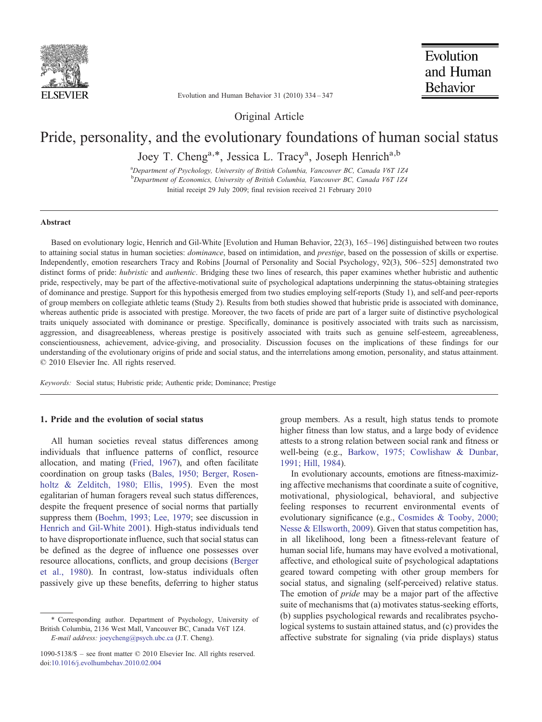

Evolution and Human **Behavior** 

Evolution and Human Behavior 31 (2010) 334–347

Original Article

# Pride, personality, and the evolutionary foundations of human social status

Joey T. Cheng<sup>a,\*</sup>, Jessica L. Tracy<sup>a</sup>, Joseph Henrich<sup>a,b</sup>

<sup>a</sup>Department of Psychology, University of British Columbia, Vancouver BC, Canada V6T 1Z4 **b**<br>Department of Economics, University of British Columbia, Vancouver BC, Canada V6T 1Z4 Initial receipt 29 July 2009; final revision received 21 February 2010

#### Abstract

Based on evolutionary logic, Henrich and Gil-White [Evolution and Human Behavior, 22(3), 165–196] distinguished between two routes to attaining social status in human societies: *dominance*, based on intimidation, and *prestige*, based on the possession of skills or expertise. Independently, emotion researchers Tracy and Robins [Journal of Personality and Social Psychology, 92(3), 506–525] demonstrated two distinct forms of pride: *hubristic* and *authentic*. Bridging these two lines of research, this paper examines whether hubristic and authentic pride, respectively, may be part of the affective-motivational suite of psychological adaptations underpinning the status-obtaining strategies of dominance and prestige. Support for this hypothesis emerged from two studies employing self-reports (Study 1), and self-and peer-reports of group members on collegiate athletic teams (Study 2). Results from both studies showed that hubristic pride is associated with dominance, whereas authentic pride is associated with prestige. Moreover, the two facets of pride are part of a larger suite of distinctive psychological traits uniquely associated with dominance or prestige. Specifically, dominance is positively associated with traits such as narcissism, aggression, and disagreeableness, whereas prestige is positively associated with traits such as genuine self-esteem, agreeableness, conscientiousness, achievement, advice-giving, and prosociality. Discussion focuses on the implications of these findings for our understanding of the evolutionary origins of pride and social status, and the interrelations among emotion, personality, and status attainment. © 2010 Elsevier Inc. All rights reserved.

Keywords: Social status; Hubristic pride; Authentic pride; Dominance; Prestige

# 1. Pride and the evolution of social status

All human societies reveal status differences among individuals that influence patterns of conflict, resource allocation, and mating [\(Fried, 1967\)](#page-11-0), and often facilitate coordination on group tasks ([Bales, 1950; Berger, Rosen](#page-11-0)[holtz & Zelditch, 1980; Ellis, 1995](#page-11-0)). Even the most egalitarian of human foragers reveal such status differences, despite the frequent presence of social norms that partially suppress them ([Boehm, 1993; Lee, 1979;](#page-11-0) see discussion in [Henrich and Gil-White 2001](#page-12-0)). High-status individuals tend to have disproportionate influence, such that social status can be defined as the degree of influence one possesses over resource allocations, conflicts, and group decisions [\(Berger](#page-11-0) [et al., 1980\)](#page-11-0). In contrast, low-status individuals often passively give up these benefits, deferring to higher status

group members. As a result, high status tends to promote higher fitness than low status, and a large body of evidence attests to a strong relation between social rank and fitness or well-being (e.g., [Barkow, 1975; Cowlishaw & Dunbar,](#page-11-0) [1991; Hill, 1984](#page-11-0)).

In evolutionary accounts, emotions are fitness-maximizing affective mechanisms that coordinate a suite of cognitive, motivational, physiological, behavioral, and subjective feeling responses to recurrent environmental events of evolutionary significance (e.g., [Cosmides & Tooby, 2000;](#page-11-0) [Nesse & Ellsworth, 2009\)](#page-11-0). Given that status competition has, in all likelihood, long been a fitness-relevant feature of human social life, humans may have evolved a motivational, affective, and ethological suite of psychological adaptations geared toward competing with other group members for social status, and signaling (self-perceived) relative status. The emotion of *pride* may be a major part of the affective suite of mechanisms that (a) motivates status-seeking efforts, (b) supplies psychological rewards and recalibrates psychological systems to sustain attained status, and (c) provides the affective substrate for signaling (via pride displays) status

<sup>⁎</sup> Corresponding author. Department of Psychology, University of British Columbia, 2136 West Mall, Vancouver BC, Canada V6T 1Z4. E-mail address: [joeycheng@psych.ubc.ca](mailto:joeycheng@psych.ubc.ca) (J.T. Cheng).

<sup>1090-5138/\$</sup> – see front matter © 2010 Elsevier Inc. All rights reserved. doi[:10.1016/j.evolhumbehav.2010.02.004](http://dx.doi.org/10.1016/j.evolhumbehav.2010.02.004)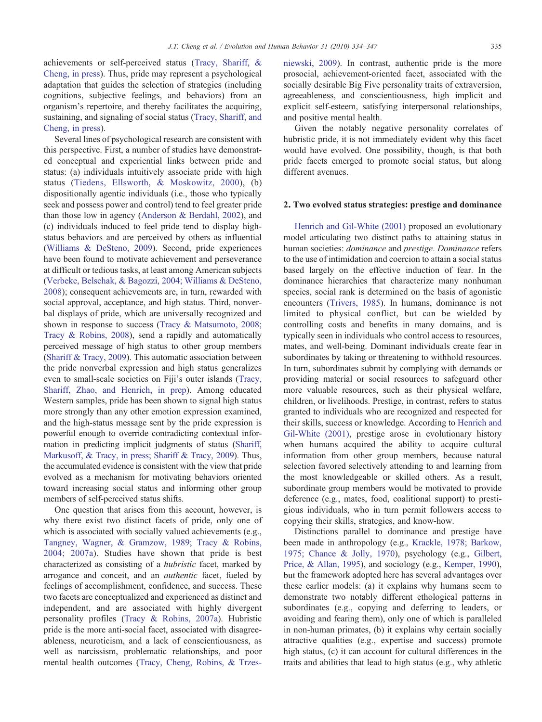achievements or self-perceived status [\(Tracy, Shariff, &](#page-12-0) [Cheng, in press\)](#page-12-0). Thus, pride may represent a psychological adaptation that guides the selection of strategies (including cognitions, subjective feelings, and behaviors) from an organism's repertoire, and thereby facilitates the acquiring, sustaining, and signaling of social status ([Tracy, Shariff, and](#page-12-0) [Cheng, in press](#page-12-0)).

Several lines of psychological research are consistent with this perspective. First, a number of studies have demonstrated conceptual and experiential links between pride and status: (a) individuals intuitively associate pride with high status [\(Tiedens, Ellsworth, & Moskowitz, 2000\)](#page-12-0), (b) dispositionally agentic individuals (i.e., those who typically seek and possess power and control) tend to feel greater pride than those low in agency ([Anderson & Berdahl, 2002\)](#page-11-0), and (c) individuals induced to feel pride tend to display highstatus behaviors and are perceived by others as influential [\(Williams & DeSteno, 2009](#page-13-0)). Second, pride experiences have been found to motivate achievement and perseverance at difficult or tedious tasks, at least among American subjects [\(Verbeke, Belschak, & Bagozzi, 2004; Williams & DeSteno,](#page-12-0) [2008\)](#page-12-0); consequent achievements are, in turn, rewarded with social approval, acceptance, and high status. Third, nonverbal displays of pride, which are universally recognized and shown in response to success ([Tracy & Matsumoto, 2008;](#page-12-0) [Tracy & Robins, 2008\)](#page-12-0), send a rapidly and automatically perceived message of high status to other group members [\(Shariff & Tracy, 2009\)](#page-12-0). This automatic association between the pride nonverbal expression and high status generalizes even to small-scale societies on Fiji's outer islands [\(Tracy,](#page-12-0) [Shariff, Zhao, and Henrich, in prep](#page-12-0)). Among educated Western samples, pride has been shown to signal high status more strongly than any other emotion expression examined, and the high-status message sent by the pride expression is powerful enough to override contradicting contextual information in predicting implicit judgments of status ([Shariff,](#page-12-0) [Markusoff, & Tracy, in press; Shariff & Tracy, 2009](#page-12-0)). Thus, the accumulated evidence is consistent with the view that pride evolved as a mechanism for motivating behaviors oriented toward increasing social status and informing other group members of self-perceived status shifts.

One question that arises from this account, however, is why there exist two distinct facets of pride, only one of which is associated with socially valued achievements (e.g., [Tangney, Wagner, & Gramzow, 1989; Tracy & Robins,](#page-12-0) [2004; 2007a](#page-12-0)). Studies have shown that pride is best characterized as consisting of a hubristic facet, marked by arrogance and conceit, and an authentic facet, fueled by feelings of accomplishment, confidence, and success. These two facets are conceptualized and experienced as distinct and independent, and are associated with highly divergent personality profiles [\(Tracy & Robins, 2007a\)](#page-12-0). Hubristic pride is the more anti-social facet, associated with disagreeableness, neuroticism, and a lack of conscientiousness, as well as narcissism, problematic relationships, and poor mental health outcomes ([Tracy, Cheng, Robins, & Trzes-](#page-12-0) [niewski, 2009](#page-12-0)). In contrast, authentic pride is the more prosocial, achievement-oriented facet, associated with the socially desirable Big Five personality traits of extraversion, agreeableness, and conscientiousness, high implicit and explicit self-esteem, satisfying interpersonal relationships, and positive mental health.

Given the notably negative personality correlates of hubristic pride, it is not immediately evident why this facet would have evolved. One possibility, though, is that both pride facets emerged to promote social status, but along different avenues.

#### 2. Two evolved status strategies: prestige and dominance

[Henrich and Gil-White \(2001\)](#page-12-0) proposed an evolutionary model articulating two distinct paths to attaining status in human societies: *dominance* and *prestige*. *Dominance* refers to the use of intimidation and coercion to attain a social status based largely on the effective induction of fear. In the dominance hierarchies that characterize many nonhuman species, social rank is determined on the basis of agonistic encounters [\(Trivers, 1985\)](#page-12-0). In humans, dominance is not limited to physical conflict, but can be wielded by controlling costs and benefits in many domains, and is typically seen in individuals who control access to resources, mates, and well-being. Dominant individuals create fear in subordinates by taking or threatening to withhold resources. In turn, subordinates submit by complying with demands or providing material or social resources to safeguard other more valuable resources, such as their physical welfare, children, or livelihoods. Prestige, in contrast, refers to status granted to individuals who are recognized and respected for their skills, success or knowledge. According to [Henrich and](#page-12-0) [Gil-White \(2001\),](#page-12-0) prestige arose in evolutionary history when humans acquired the ability to acquire cultural information from other group members, because natural selection favored selectively attending to and learning from the most knowledgeable or skilled others. As a result, subordinate group members would be motivated to provide deference (e.g., mates, food, coalitional support) to prestigious individuals, who in turn permit followers access to copying their skills, strategies, and know-how.

Distinctions parallel to dominance and prestige have been made in anthropology (e.g., [Krackle, 1978; Barkow,](#page-12-0) [1975; Chance & Jolly, 1970\)](#page-12-0), psychology (e.g., [Gilbert,](#page-11-0) [Price, & Allan, 1995](#page-11-0)), and sociology (e.g., [Kemper, 1990](#page-12-0)), but the framework adopted here has several advantages over these earlier models: (a) it explains why humans seem to demonstrate two notably different ethological patterns in subordinates (e.g., copying and deferring to leaders, or avoiding and fearing them), only one of which is paralleled in non-human primates, (b) it explains why certain socially attractive qualities (e.g., expertise and success) promote high status, (c) it can account for cultural differences in the traits and abilities that lead to high status (e.g., why athletic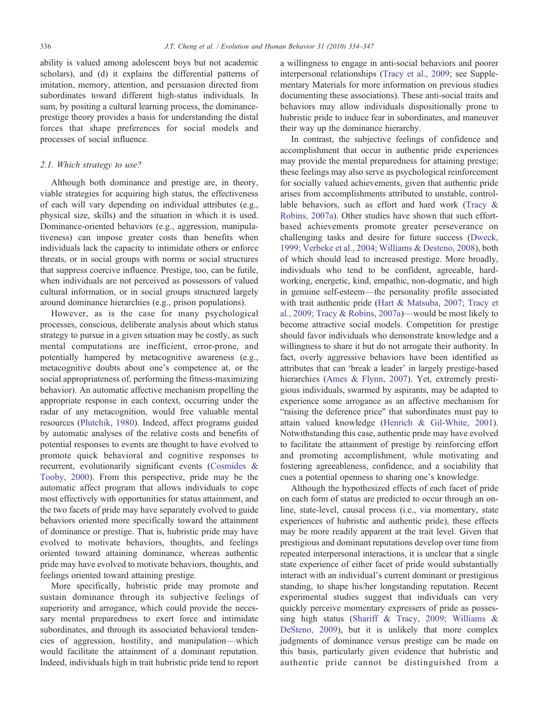ability is valued among adolescent boys but not academic scholars), and (d) it explains the differential patterns of imitation, memory, attention, and persuasion directed from subordinates toward different high-status individuals. In sum, by positing a cultural learning process, the dominanceprestige theory provides a basis for understanding the distal forces that shape preferences for social models and processes of social influence.

#### 2.1. Which strategy to use?

Although both dominance and prestige are, in theory, viable strategies for acquiring high status, the effectiveness of each will vary depending on individual attributes (e.g., physical size, skills) and the situation in which it is used. Dominance-oriented behaviors (e.g., aggression, manipulativeness) can impose greater costs than benefits when individuals lack the capacity to intimidate others or enforce threats, or in social groups with norms or social structures that suppress coercive influence. Prestige, too, can be futile, when individuals are not perceived as possessors of valued cultural information, or in social groups structured largely around dominance hierarchies (e.g., prison populations).

However, as is the case for many psychological processes, conscious, deliberate analysis about which status strategy to pursue in a given situation may be costly, as such mental computations are inefficient, error-prone, and potentially hampered by metacognitive awareness (e.g., metacognitive doubts about one's competence at, or the social appropriateness of, performing the fitness-maximizing behavior). An automatic affective mechanism propelling the appropriate response in each context, occurring under the radar of any metacognition, would free valuable mental resources [\(Plutchik, 1980](#page-12-0)). Indeed, affect programs guided by automatic analyses of the relative costs and benefits of potential responses to events are thought to have evolved to promote quick behavioral and cognitive responses to recurrent, evolutionarily significant events ([Cosmides &](#page-11-0) [Tooby, 2000\)](#page-11-0). From this perspective, pride may be the automatic affect program that allows individuals to cope most effectively with opportunities for status attainment, and the two facets of pride may have separately evolved to guide behaviors oriented more specifically toward the attainment of dominance or prestige. That is, hubristic pride may have evolved to motivate behaviors, thoughts, and feelings oriented toward attaining dominance, whereas authentic pride may have evolved to motivate behaviors, thoughts, and feelings oriented toward attaining prestige.

More specifically, hubristic pride may promote and sustain dominance through its subjective feelings of superiority and arrogance, which could provide the necessary mental preparedness to exert force and intimidate subordinates, and through its associated behavioral tendencies of aggression, hostility, and manipulation—which would facilitate the attainment of a dominant reputation. Indeed, individuals high in trait hubristic pride tend to report a willingness to engage in anti-social behaviors and poorer interpersonal relationships ([Tracy et al., 2009;](#page-12-0) see Supplementary Materials for more information on previous studies documenting these associations). These anti-social traits and behaviors may allow individuals dispositionally prone to hubristic pride to induce fear in subordinates, and maneuver their way up the dominance hierarchy.

In contrast, the subjective feelings of confidence and accomplishment that occur in authentic pride experiences may provide the mental preparedness for attaining prestige; these feelings may also serve as psychological reinforcement for socially valued achievements, given that authentic pride arises from accomplishments attributed to unstable, controllable behaviors, such as effort and hard work ([Tracy &](#page-12-0) [Robins, 2007a](#page-12-0)). Other studies have shown that such effortbased achievements promote greater perseverance on challenging tasks and desire for future success ([Dweck,](#page-11-0) [1999; Verbeke et al., 2004; Williams & Desteno, 2008\)](#page-11-0), both of which should lead to increased prestige. More broadly, individuals who tend to be confident, agreeable, hardworking, energetic, kind, empathic, non-dogmatic, and high in genuine self-esteem—the personality profile associated with trait authentic pride [\(Hart & Matsuba, 2007; Tracy et](#page-12-0) [al., 2009; Tracy & Robins, 2007a](#page-12-0))—would be most likely to become attractive social models. Competition for prestige should favor individuals who demonstrate knowledge and a willingness to share it but do not arrogate their authority. In fact, overly aggressive behaviors have been identified as attributes that can 'break a leader' in largely prestige-based hierarchies ([Ames & Flynn, 2007\)](#page-11-0). Yet, extremely prestigious individuals, swarmed by aspirants, may be adapted to experience some arrogance as an affective mechanism for "raising the deference price" that subordinates must pay to attain valued knowledge [\(Henrich & Gil-White, 2001](#page-12-0)). Notwithstanding this case, authentic pride may have evolved to facilitate the attainment of prestige by reinforcing effort and promoting accomplishment, while motivating and fostering agreeableness, confidence, and a sociability that cues a potential openness to sharing one's knowledge.

Although the hypothesized effects of each facet of pride on each form of status are predicted to occur through an online, state-level, causal process (i.e., via momentary, state experiences of hubristic and authentic pride), these effects may be more readily apparent at the trait level. Given that prestigious and dominant reputations develop over time from repeated interpersonal interactions, it is unclear that a single state experience of either facet of pride would substantially interact with an individual's current dominant or prestigious standing, to shape his/her longstanding reputation. Recent experimental studies suggest that individuals can very quickly perceive momentary expressers of pride as possessing high status ([Shariff & Tracy, 2009; Williams &](#page-12-0) [DeSteno, 2009\)](#page-12-0), but it is unlikely that more complex judgments of dominance versus prestige can be made on this basis, particularly given evidence that hubristic and authentic pride cannot be distinguished from a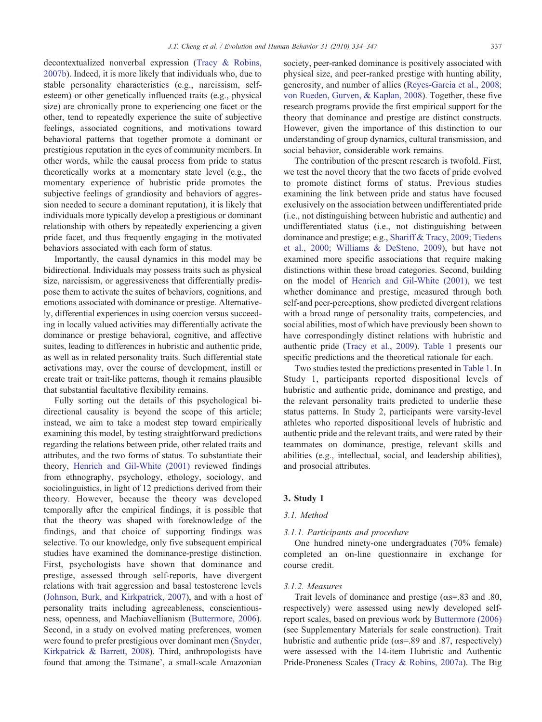decontextualized nonverbal expression [\(Tracy & Robins,](#page-12-0) [2007b\)](#page-12-0). Indeed, it is more likely that individuals who, due to stable personality characteristics (e.g., narcissism, selfesteem) or other genetically influenced traits (e.g., physical size) are chronically prone to experiencing one facet or the other, tend to repeatedly experience the suite of subjective feelings, associated cognitions, and motivations toward behavioral patterns that together promote a dominant or prestigious reputation in the eyes of community members. In other words, while the causal process from pride to status theoretically works at a momentary state level (e.g., the momentary experience of hubristic pride promotes the subjective feelings of grandiosity and behaviors of aggression needed to secure a dominant reputation), it is likely that individuals more typically develop a prestigious or dominant relationship with others by repeatedly experiencing a given pride facet, and thus frequently engaging in the motivated behaviors associated with each form of status.

Importantly, the causal dynamics in this model may be bidirectional. Individuals may possess traits such as physical size, narcissism, or aggressiveness that differentially predispose them to activate the suites of behaviors, cognitions, and emotions associated with dominance or prestige. Alternatively, differential experiences in using coercion versus succeeding in locally valued activities may differentially activate the dominance or prestige behavioral, cognitive, and affective suites, leading to differences in hubristic and authentic pride, as well as in related personality traits. Such differential state activations may, over the course of development, instill or create trait or trait-like patterns, though it remains plausible that substantial facultative flexibility remains.

Fully sorting out the details of this psychological bidirectional causality is beyond the scope of this article; instead, we aim to take a modest step toward empirically examining this model, by testing straightforward predictions regarding the relations between pride, other related traits and attributes, and the two forms of status. To substantiate their theory, [Henrich and Gil-White \(2001\)](#page-12-0) reviewed findings from ethnography, psychology, ethology, sociology, and sociolinguistics, in light of 12 predictions derived from their theory. However, because the theory was developed temporally after the empirical findings, it is possible that that the theory was shaped with foreknowledge of the findings, and that choice of supporting findings was selective. To our knowledge, only five subsequent empirical studies have examined the dominance-prestige distinction. First, psychologists have shown that dominance and prestige, assessed through self-reports, have divergent relations with trait aggression and basal testosterone levels [\(Johnson, Burk, and Kirkpatrick, 2007\)](#page-12-0), and with a host of personality traits including agreeableness, conscientiousness, openness, and Machiavellianism ([Buttermore, 2006](#page-11-0)). Second, in a study on evolved mating preferences, women were found to prefer prestigious over dominant men [\(Snyder,](#page-12-0) [Kirkpatrick & Barrett, 2008\)](#page-12-0). Third, anthropologists have found that among the Tsimane', a small-scale Amazonian

society, peer-ranked dominance is positively associated with physical size, and peer-ranked prestige with hunting ability, generosity, and number of allies ([Reyes-Garcia et al., 2008;](#page-12-0) [von Rueden, Gurven, & Kaplan, 2008\)](#page-12-0). Together, these five research programs provide the first empirical support for the theory that dominance and prestige are distinct constructs. However, given the importance of this distinction to our understanding of group dynamics, cultural transmission, and social behavior, considerable work remains.

The contribution of the present research is twofold. First, we test the novel theory that the two facets of pride evolved to promote distinct forms of status. Previous studies examining the link between pride and status have focused exclusively on the association between undifferentiated pride (i.e., not distinguishing between hubristic and authentic) and undifferentiated status (i.e., not distinguishing between dominance and prestige; e.g., [Shariff & Tracy, 2009; Tiedens](#page-12-0) [et al., 2000; Williams & DeSteno, 2009](#page-12-0)), but have not examined more specific associations that require making distinctions within these broad categories. Second, building on the model of [Henrich and Gil-White \(2001\),](#page-12-0) we test whether dominance and prestige, measured through both self-and peer-perceptions, show predicted divergent relations with a broad range of personality traits, competencies, and social abilities, most of which have previously been shown to have correspondingly distinct relations with hubristic and authentic pride [\(Tracy et al., 2009](#page-12-0)). [Table 1](#page-4-0) presents our specific predictions and the theoretical rationale for each.

Two studies tested the predictions presented in [Table 1](#page-4-0). In Study 1, participants reported dispositional levels of hubristic and authentic pride, dominance and prestige, and the relevant personality traits predicted to underlie these status patterns. In Study 2, participants were varsity-level athletes who reported dispositional levels of hubristic and authentic pride and the relevant traits, and were rated by their teammates on dominance, prestige, relevant skills and abilities (e.g., intellectual, social, and leadership abilities), and prosocial attributes.

#### 3. Study 1

#### 3.1. Method

#### 3.1.1. Participants and procedure

One hundred ninety-one undergraduates (70% female) completed an on-line questionnaire in exchange for course credit.

#### 3.1.2. Measures

Trait levels of dominance and prestige ( $\alpha$ s=.83 and .80, respectively) were assessed using newly developed selfreport scales, based on previous work by [Buttermore \(2006\)](#page-11-0) (see Supplementary Materials for scale construction). Trait hubristic and authentic pride ( $\alpha$ s=.89 and .87, respectively) were assessed with the 14-item Hubristic and Authentic Pride-Proneness Scales ([Tracy & Robins, 2007a](#page-12-0)). The Big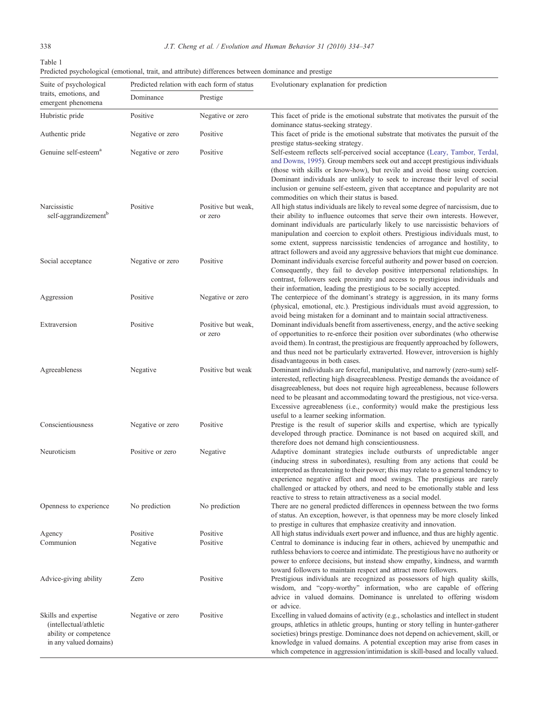<span id="page-4-0"></span>

| Table 1                                                                                              |  |  |  |  |
|------------------------------------------------------------------------------------------------------|--|--|--|--|
| Predicted psychological (emotional, trait, and attribute) differences between dominance and prestige |  |  |  |  |

| Suite of psychological                                                                            | Predicted relation with each form of status |                               | Evolutionary explanation for prediction                                                                                                                                                                                                                                                                                                                                                                                                                                 |  |  |
|---------------------------------------------------------------------------------------------------|---------------------------------------------|-------------------------------|-------------------------------------------------------------------------------------------------------------------------------------------------------------------------------------------------------------------------------------------------------------------------------------------------------------------------------------------------------------------------------------------------------------------------------------------------------------------------|--|--|
| traits, emotions, and<br>emergent phenomena                                                       | Dominance<br>Prestige                       |                               |                                                                                                                                                                                                                                                                                                                                                                                                                                                                         |  |  |
| Hubristic pride                                                                                   | Positive                                    | Negative or zero              | This facet of pride is the emotional substrate that motivates the pursuit of the<br>dominance status-seeking strategy.                                                                                                                                                                                                                                                                                                                                                  |  |  |
| Authentic pride                                                                                   | Negative or zero                            | Positive                      | This facet of pride is the emotional substrate that motivates the pursuit of the<br>prestige status-seeking strategy.                                                                                                                                                                                                                                                                                                                                                   |  |  |
| Genuine self-esteem <sup>a</sup>                                                                  | Negative or zero                            | Positive                      | Self-esteem reflects self-perceived social acceptance (Leary, Tambor, Terdal,<br>and Downs, 1995). Group members seek out and accept prestigious individuals<br>(those with skills or know-how), but revile and avoid those using coercion.<br>Dominant individuals are unlikely to seek to increase their level of social                                                                                                                                              |  |  |
| Narcissistic<br>self-aggrandizement <sup>b</sup>                                                  | Positive                                    | Positive but weak,<br>or zero | inclusion or genuine self-esteem, given that acceptance and popularity are not<br>commodities on which their status is based.<br>All high status individuals are likely to reveal some degree of narcissism, due to<br>their ability to influence outcomes that serve their own interests. However,<br>dominant individuals are particularly likely to use narcissistic behaviors of<br>manipulation and coercion to exploit others. Prestigious individuals must, to   |  |  |
| Social acceptance                                                                                 | Negative or zero                            | Positive                      | some extent, suppress narcissistic tendencies of arrogance and hostility, to<br>attract followers and avoid any aggressive behaviors that might cue dominance.<br>Dominant individuals exercise forceful authority and power based on coercion.<br>Consequently, they fail to develop positive interpersonal relationships. In<br>contrast, followers seek proximity and access to prestigious individuals and                                                          |  |  |
| Aggression                                                                                        | Positive                                    | Negative or zero              | their information, leading the prestigious to be socially accepted.<br>The centerpiece of the dominant's strategy is aggression, in its many forms<br>(physical, emotional, etc.). Prestigious individuals must avoid aggression, to<br>avoid being mistaken for a dominant and to maintain social attractiveness.                                                                                                                                                      |  |  |
| Extraversion                                                                                      | Positive                                    | Positive but weak,<br>or zero | Dominant individuals benefit from assertiveness, energy, and the active seeking<br>of opportunities to re-enforce their position over subordinates (who otherwise<br>avoid them). In contrast, the prestigious are frequently approached by followers,<br>and thus need not be particularly extraverted. However, introversion is highly                                                                                                                                |  |  |
| Agreeableness                                                                                     | Negative                                    | Positive but weak             | disadvantageous in both cases.<br>Dominant individuals are forceful, manipulative, and narrowly (zero-sum) self-<br>interested, reflecting high disagreeableness. Prestige demands the avoidance of<br>disagreeableness, but does not require high agreeableness, because followers<br>need to be pleasant and accommodating toward the prestigious, not vice-versa.<br>Excessive agreeableness (i.e., conformity) would make the prestigious less                      |  |  |
| Conscientiousness                                                                                 | Negative or zero                            | Positive                      | useful to a learner seeking information.<br>Prestige is the result of superior skills and expertise, which are typically<br>developed through practice. Dominance is not based on acquired skill, and<br>therefore does not demand high conscientiousness.                                                                                                                                                                                                              |  |  |
| Neuroticism                                                                                       | Positive or zero                            | Negative                      | Adaptive dominant strategies include outbursts of unpredictable anger<br>(inducing stress in subordinates), resulting from any actions that could be<br>interpreted as threatening to their power; this may relate to a general tendency to<br>experience negative affect and mood swings. The prestigious are rarely<br>challenged or attacked by others, and need to be emotionally stable and less<br>reactive to stress to retain attractiveness as a social model. |  |  |
| Openness to experience                                                                            | No prediction                               | No prediction                 | There are no general predicted differences in openness between the two forms<br>of status. An exception, however, is that openness may be more closely linked<br>to prestige in cultures that emphasize creativity and innovation.                                                                                                                                                                                                                                      |  |  |
| Agency                                                                                            | Positive                                    | Positive                      | All high status individuals exert power and influence, and thus are highly agentic.                                                                                                                                                                                                                                                                                                                                                                                     |  |  |
| Communion                                                                                         | Negative                                    | Positive                      | Central to dominance is inducing fear in others, achieved by unempathic and<br>ruthless behaviors to coerce and intimidate. The prestigious have no authority or<br>power to enforce decisions, but instead show empathy, kindness, and warmth<br>toward followers to maintain respect and attract more followers.                                                                                                                                                      |  |  |
| Advice-giving ability                                                                             | Zero                                        | Positive                      | Prestigious individuals are recognized as possessors of high quality skills,<br>wisdom, and "copy-worthy" information, who are capable of offering<br>advice in valued domains. Dominance is unrelated to offering wisdom<br>or advice.                                                                                                                                                                                                                                 |  |  |
| Skills and expertise<br>(intellectual/athletic<br>ability or competence<br>in any valued domains) | Negative or zero                            | Positive                      | Excelling in valued domains of activity (e.g., scholastics and intellect in student<br>groups, athletics in athletic groups, hunting or story telling in hunter-gatherer<br>societies) brings prestige. Dominance does not depend on achievement, skill, or<br>knowledge in valued domains. A potential exception may arise from cases in<br>which competence in aggression/intimidation is skill-based and locally valued.                                             |  |  |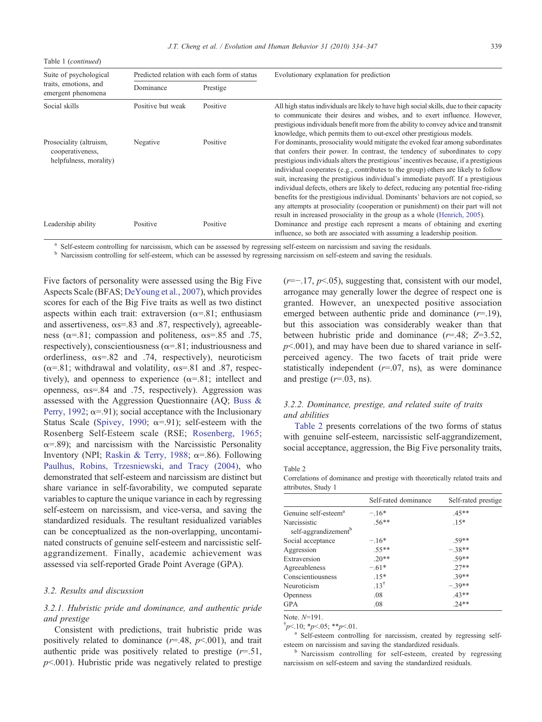<span id="page-5-0"></span>

|  |  | Table 1 (continued) |
|--|--|---------------------|
|--|--|---------------------|

| Suite of psychological                                                | Predicted relation with each form of status |          | Evolutionary explanation for prediction                                                                                                                                                                                                                                                                                                                                                                                                                                                                                                                                                                                                                                                                                                                                   |  |  |  |
|-----------------------------------------------------------------------|---------------------------------------------|----------|---------------------------------------------------------------------------------------------------------------------------------------------------------------------------------------------------------------------------------------------------------------------------------------------------------------------------------------------------------------------------------------------------------------------------------------------------------------------------------------------------------------------------------------------------------------------------------------------------------------------------------------------------------------------------------------------------------------------------------------------------------------------------|--|--|--|
| traits, emotions, and<br>emergent phenomena                           | Prestige<br>Dominance                       |          |                                                                                                                                                                                                                                                                                                                                                                                                                                                                                                                                                                                                                                                                                                                                                                           |  |  |  |
| Social skills                                                         | Positive but weak                           | Positive | All high status individuals are likely to have high social skills, due to their capacity<br>to communicate their desires and wishes, and to exert influence. However,<br>prestigious individuals benefit more from the ability to convey advice and transmit<br>knowledge, which permits them to out-excel other prestigious models.                                                                                                                                                                                                                                                                                                                                                                                                                                      |  |  |  |
| Prosociality (altruism,<br>cooperativeness,<br>helpfulness, morality) | Negative                                    | Positive | For dominants, prosociality would mitigate the evoked fear among subordinates<br>that confers their power. In contrast, the tendency of subordinates to copy<br>prestigious individuals alters the prestigious' incentives because, if a prestigious<br>individual cooperates (e.g., contributes to the group) others are likely to follow<br>suit, increasing the prestigious individual's immediate payoff. If a prestigious<br>individual defects, others are likely to defect, reducing any potential free-riding<br>benefits for the prestigious individual. Dominants' behaviors are not copied, so<br>any attempts at prosociality (cooperation or punishment) on their part will not<br>result in increased prosociality in the group as a whole (Henrich, 2005). |  |  |  |
| Leadership ability                                                    | Positive                                    | Positive | Dominance and prestige each represent a means of obtaining and exerting<br>influence, so both are associated with assuming a leadership position.                                                                                                                                                                                                                                                                                                                                                                                                                                                                                                                                                                                                                         |  |  |  |

<sup>a</sup> Self-esteem controlling for narcissism, which can be assessed by regressing self-esteem on narcissism and saving the residuals.<br><sup>b</sup> Narcissism controlling for self-esteem, which can be assessed by regressing narcissism

Five factors of personality were assessed using the Big Five Aspects Scale (BFAS; [DeYoung et al., 2007](#page-11-0)), which provides scores for each of the Big Five traits as well as two distinct aspects within each trait: extraversion ( $\alpha$ =.81; enthusiasm and assertiveness,  $\alpha s = .83$  and  $.87$ , respectively), agreeableness ( $\alpha$ =.81; compassion and politeness,  $\alpha$ s=.85 and .75, respectively), conscientiousness ( $\alpha$ =.81; industriousness and orderliness,  $\alpha s = .82$  and .74, respectively), neuroticism ( $\alpha$ =.81; withdrawal and volatility,  $\alpha$ s=.81 and .87, respectively), and openness to experience ( $\alpha$ =.81; intellect and openness,  $\alpha s = .84$  and .75, respectively). Aggression was assessed with the Aggression Questionnaire (AQ; [Buss &](#page-11-0) [Perry, 1992](#page-11-0);  $\alpha$ =.91); social acceptance with the Inclusionary Status Scale ([Spivey, 1990;](#page-12-0)  $\alpha$ =.91); self-esteem with the Rosenberg Self-Esteem scale (RSE; [Rosenberg, 1965](#page-12-0);  $\alpha$ =.89); and narcissism with the Narcissistic Personality Inventory (NPI; [Raskin & Terry, 1988](#page-12-0);  $\alpha$ =.86). Following [Paulhus, Robins, Trzesniewski, and Tracy \(2004\)](#page-12-0), who demonstrated that self-esteem and narcissism are distinct but share variance in self-favorability, we computed separate variables to capture the unique variance in each by regressing self-esteem on narcissism, and vice-versa, and saving the standardized residuals. The resultant residualized variables can be conceptualized as the non-overlapping, uncontaminated constructs of genuine self-esteem and narcissistic selfaggrandizement. Finally, academic achievement was assessed via self-reported Grade Point Average (GPA).

# 3.2. Results and discussion

# 3.2.1. Hubristic pride and dominance, and authentic pride and prestige

Consistent with predictions, trait hubristic pride was positively related to dominance  $(r=.48, p<.001)$ , and trait authentic pride was positively related to prestige  $(r=.51, ...)$  $p<.001$ ). Hubristic pride was negatively related to prestige

 $(r=-.17, p<.05)$ , suggesting that, consistent with our model, arrogance may generally lower the degree of respect one is granted. However, an unexpected positive association emerged between authentic pride and dominance  $(r=19)$ , but this association was considerably weaker than that between hubristic pride and dominance  $(r=.48; Z=3.52)$ ,  $p<.001$ ), and may have been due to shared variance in selfperceived agency. The two facets of trait pride were statistically independent  $(r=0.07, \text{ns})$ , as were dominance and prestige  $(r=.03, \text{ ns})$ .

# 3.2.2. Dominance, prestige, and related suite of traits and abilities

Table 2 presents correlations of the two forms of status with genuine self-esteem, narcissistic self-aggrandizement, social acceptance, aggression, the Big Five personality traits,

#### Table 2

Correlations of dominance and prestige with theoretically related traits and attributes, Study 1

|                                                  | Self-rated dominance | Self-rated prestige |
|--------------------------------------------------|----------------------|---------------------|
| Genuine self-esteem <sup>a</sup>                 | $-16*$               | $45**$              |
| Narcissistic<br>self-aggrandizement <sup>b</sup> | 56**                 | $15*$               |
| Social acceptance                                | $-.16*$              | 59**                |
| Aggression                                       | 55**                 | $-38**$             |
| Extraversion                                     | $20**$               | $.59**$             |
| Agreeableness                                    | $-.61*$              | $27**$              |
| Conscientiousness                                | $.15*$               | $.39**$             |
| Neuroticism                                      | $.13^{\dagger}$      | $-.39**$            |
| <b>Openness</b>                                  | .08                  | $.43**$             |
| <b>GPA</b>                                       | .08                  | $.24**$             |

Note. N=191.

 $\phi$  = 10; \* p < 05; \* \* p < 01.

<sup>a</sup> Self-esteem controlling for narcissism, created by regressing self-

esteem on narcissism and saving the standardized residuals.<br><sup>b</sup> Narcissism controlling for self-esteem, created by regressing narcissism on self-esteem and saving the standardized residuals.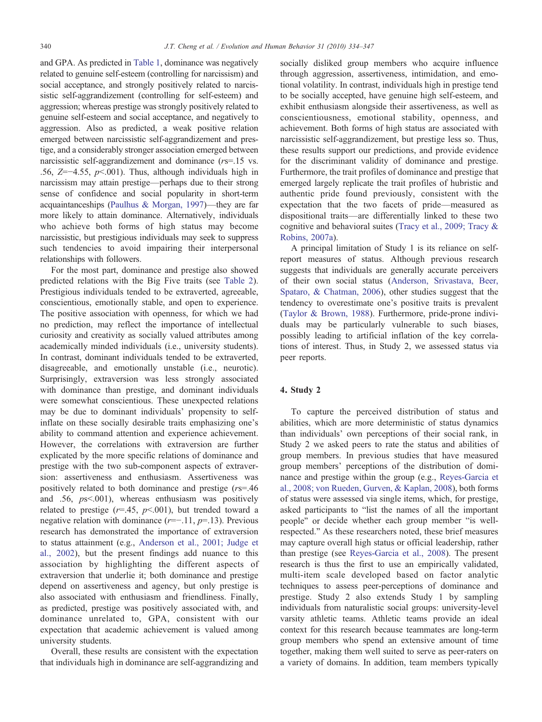and GPA. As predicted in [Table 1,](#page-4-0) dominance was negatively related to genuine self-esteem (controlling for narcissism) and social acceptance, and strongly positively related to narcissistic self-aggrandizement (controlling for self-esteem) and aggression; whereas prestige was strongly positively related to genuine self-esteem and social acceptance, and negatively to aggression. Also as predicted, a weak positive relation emerged between narcissistic self-aggrandizement and prestige, and a considerably stronger association emerged between narcissistic self-aggrandizement and dominance (rs=.15 vs. .56,  $Z=-4.55$ ,  $p<0.001$ ). Thus, although individuals high in narcissism may attain prestige—perhaps due to their strong sense of confidence and social popularity in short-term acquaintanceships [\(Paulhus & Morgan, 1997](#page-12-0))—they are far more likely to attain dominance. Alternatively, individuals who achieve both forms of high status may become narcissistic, but prestigious individuals may seek to suppress such tendencies to avoid impairing their interpersonal relationships with followers.

For the most part, dominance and prestige also showed predicted relations with the Big Five traits (see [Table 2](#page-5-0)). Prestigious individuals tended to be extraverted, agreeable, conscientious, emotionally stable, and open to experience. The positive association with openness, for which we had no prediction, may reflect the importance of intellectual curiosity and creativity as socially valued attributes among academically minded individuals (i.e., university students). In contrast, dominant individuals tended to be extraverted, disagreeable, and emotionally unstable (i.e., neurotic). Surprisingly, extraversion was less strongly associated with dominance than prestige, and dominant individuals were somewhat conscientious. These unexpected relations may be due to dominant individuals' propensity to selfinflate on these socially desirable traits emphasizing one's ability to command attention and experience achievement. However, the correlations with extraversion are further explicated by the more specific relations of dominance and prestige with the two sub-component aspects of extraversion: assertiveness and enthusiasm. Assertiveness was positively related to both dominance and prestige (rs=.46 and .56,  $ps<0.001$ ), whereas enthusiasm was positively related to prestige ( $r=0.45$ ,  $p<0.01$ ), but trended toward a negative relation with dominance  $(r=-.11, p=.13)$ . Previous research has demonstrated the importance of extraversion to status attainment (e.g., [Anderson et al., 2001; Judge et](#page-11-0) [al., 2002\)](#page-11-0), but the present findings add nuance to this association by highlighting the different aspects of extraversion that underlie it; both dominance and prestige depend on assertiveness and agency, but only prestige is also associated with enthusiasm and friendliness. Finally, as predicted, prestige was positively associated with, and dominance unrelated to, GPA, consistent with our expectation that academic achievement is valued among university students.

Overall, these results are consistent with the expectation that individuals high in dominance are self-aggrandizing and socially disliked group members who acquire influence through aggression, assertiveness, intimidation, and emotional volatility. In contrast, individuals high in prestige tend to be socially accepted, have genuine high self-esteem, and exhibit enthusiasm alongside their assertiveness, as well as conscientiousness, emotional stability, openness, and achievement. Both forms of high status are associated with narcissistic self-aggrandizement, but prestige less so. Thus, these results support our predictions, and provide evidence for the discriminant validity of dominance and prestige. Furthermore, the trait profiles of dominance and prestige that emerged largely replicate the trait profiles of hubristic and authentic pride found previously, consistent with the expectation that the two facets of pride—measured as dispositional traits—are differentially linked to these two cognitive and behavioral suites ([Tracy et al., 2009; Tracy &](#page-12-0) [Robins, 2007a](#page-12-0)).

A principal limitation of Study 1 is its reliance on selfreport measures of status. Although previous research suggests that individuals are generally accurate perceivers of their own social status ([Anderson, Srivastava, Beer,](#page-11-0) [Spataro, & Chatman, 2006](#page-11-0)), other studies suggest that the tendency to overestimate one's positive traits is prevalent [\(Taylor & Brown, 1988](#page-12-0)). Furthermore, pride-prone individuals may be particularly vulnerable to such biases, possibly leading to artificial inflation of the key correlations of interest. Thus, in Study 2, we assessed status via peer reports.

# 4. Study 2

To capture the perceived distribution of status and abilities, which are more deterministic of status dynamics than individuals' own perceptions of their social rank, in Study 2 we asked peers to rate the status and abilities of group members. In previous studies that have measured group members' perceptions of the distribution of dominance and prestige within the group (e.g., [Reyes-Garcia et](#page-12-0) [al., 2008; von Rueden, Gurven, & Kaplan, 2008\)](#page-12-0), both forms of status were assessed via single items, which, for prestige, asked participants to "list the names of all the important people" or decide whether each group member "is wellrespected." As these researchers noted, these brief measures may capture overall high status or official leadership, rather than prestige (see [Reyes-Garcia et al., 2008](#page-12-0)). The present research is thus the first to use an empirically validated, multi-item scale developed based on factor analytic techniques to assess peer-perceptions of dominance and prestige. Study 2 also extends Study 1 by sampling individuals from naturalistic social groups: university-level varsity athletic teams. Athletic teams provide an ideal context for this research because teammates are long-term group members who spend an extensive amount of time together, making them well suited to serve as peer-raters on a variety of domains. In addition, team members typically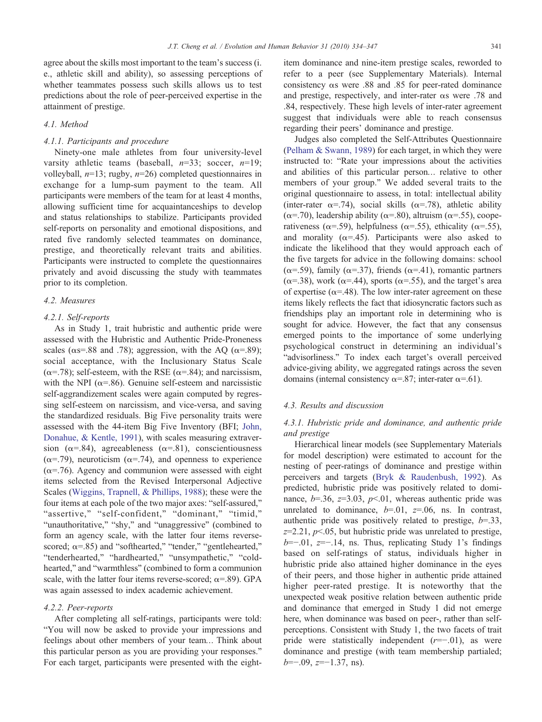agree about the skills most important to the team's success (i. e., athletic skill and ability), so assessing perceptions of whether teammates possess such skills allows us to test predictions about the role of peer-perceived expertise in the attainment of prestige.

# 4.1. Method

#### 4.1.1. Participants and procedure

Ninety-one male athletes from four university-level varsity athletic teams (baseball,  $n=33$ ; soccer,  $n=19$ ; volleyball,  $n=13$ ; rugby,  $n=26$ ) completed questionnaires in exchange for a lump-sum payment to the team. All participants were members of the team for at least 4 months, allowing sufficient time for acquaintanceships to develop and status relationships to stabilize. Participants provided self-reports on personality and emotional dispositions, and rated five randomly selected teammates on dominance, prestige, and theoretically relevant traits and abilities. Participants were instructed to complete the questionnaires privately and avoid discussing the study with teammates prior to its completion.

# 4.2. Measures

# 4.2.1. Self-reports

As in Study 1, trait hubristic and authentic pride were assessed with the Hubristic and Authentic Pride-Proneness scales ( $\alpha$ s=.88 and .78); aggression, with the AQ ( $\alpha$ =.89); social acceptance, with the Inclusionary Status Scale ( $\alpha$ =.78); self-esteem, with the RSE ( $\alpha$ =.84); and narcissism, with the NPI ( $\alpha$ =.86). Genuine self-esteem and narcissistic self-aggrandizement scales were again computed by regressing self-esteem on narcissism, and vice-versa, and saving the standardized residuals. Big Five personality traits were assessed with the 44-item Big Five Inventory (BFI; [John,](#page-12-0) [Donahue, & Kentle, 1991\)](#page-12-0), with scales measuring extraversion ( $\alpha$ =.84), agreeableness ( $\alpha$ =.81), conscientiousness ( $\alpha$ =.79), neuroticism ( $\alpha$ =.74), and openness to experience  $(\alpha = 76)$ . Agency and communion were assessed with eight items selected from the Revised Interpersonal Adjective Scales ([Wiggins, Trapnell, & Phillips, 1988\)](#page-13-0); these were the four items at each pole of the two major axes: "self-assured," "assertive," "self-confident," "dominant," "timid," "unauthoritative," "shy," and "unaggressive" (combined to form an agency scale, with the latter four items reversescored;  $\alpha$ =.85) and "softhearted," "tender," "gentlehearted," "tenderhearted," "hardhearted," "unsympathetic," "coldhearted," and "warmthless" (combined to form a communion scale, with the latter four items reverse-scored;  $\alpha$ =.89). GPA was again assessed to index academic achievement.

#### 4.2.2. Peer-reports

After completing all self-ratings, participants were told: "You will now be asked to provide your impressions and feelings about other members of your team… Think about this particular person as you are providing your responses." For each target, participants were presented with the eightitem dominance and nine-item prestige scales, reworded to refer to a peer (see Supplementary Materials). Internal consistency αs were .88 and .85 for peer-rated dominance and prestige, respectively, and inter-rater  $\alpha$ s were .78 and .84, respectively. These high levels of inter-rater agreement suggest that individuals were able to reach consensus regarding their peers' dominance and prestige.

Judges also completed the Self-Attributes Questionnaire [\(Pelham & Swann, 1989\)](#page-12-0) for each target, in which they were instructed to: "Rate your impressions about the activities and abilities of this particular person… relative to other members of your group." We added several traits to the original questionnaire to assess, in total: intellectual ability (inter-rater  $\alpha$ =.74), social skills ( $\alpha$ =.78), athletic ability ( $\alpha$ =.70), leadership ability ( $\alpha$ =.80), altruism ( $\alpha$ =.55), cooperativeness ( $\alpha$ =.59), helpfulness ( $\alpha$ =.55), ethicality ( $\alpha$ =.55), and morality ( $\alpha$ =.45). Participants were also asked to indicate the likelihood that they would approach each of the five targets for advice in the following domains: school ( $\alpha$ =.59), family ( $\alpha$ =.37), friends ( $\alpha$ =.41), romantic partners ( $\alpha$ =.38), work ( $\alpha$ =.44), sports ( $\alpha$ =.55), and the target's area of expertise ( $\alpha$ =.48). The low inter-rater agreement on these items likely reflects the fact that idiosyncratic factors such as friendships play an important role in determining who is sought for advice. However, the fact that any consensus emerged points to the importance of some underlying psychological construct in determining an individual's "advisorliness." To index each target's overall perceived advice-giving ability, we aggregated ratings across the seven domains (internal consistency  $\alpha = .87$ ; inter-rater  $\alpha = .61$ ).

## 4.3. Results and discussion

# 4.3.1. Hubristic pride and dominance, and authentic pride and prestige

Hierarchical linear models (see Supplementary Materials for model description) were estimated to account for the nesting of peer-ratings of dominance and prestige within perceivers and targets ([Bryk & Raudenbush, 1992\)](#page-11-0). As predicted, hubristic pride was positively related to dominance,  $b=36$ ,  $z=3.03$ ,  $p<01$ , whereas authentic pride was unrelated to dominance,  $b=0.01$ ,  $z=0.06$ , ns. In contrast, authentic pride was positively related to prestige,  $b=33$ ,  $z=2.21$ ,  $p<.05$ , but hubristic pride was unrelated to prestige,  $b=-.01$ ,  $z=-.14$ , ns. Thus, replicating Study 1's findings based on self-ratings of status, individuals higher in hubristic pride also attained higher dominance in the eyes of their peers, and those higher in authentic pride attained higher peer-rated prestige. It is noteworthy that the unexpected weak positive relation between authentic pride and dominance that emerged in Study 1 did not emerge here, when dominance was based on peer-, rather than selfperceptions. Consistent with Study 1, the two facets of trait pride were statistically independent  $(r=-.01)$ , as were dominance and prestige (with team membership partialed;  $b=-.09$ ,  $z=-1.37$ , ns).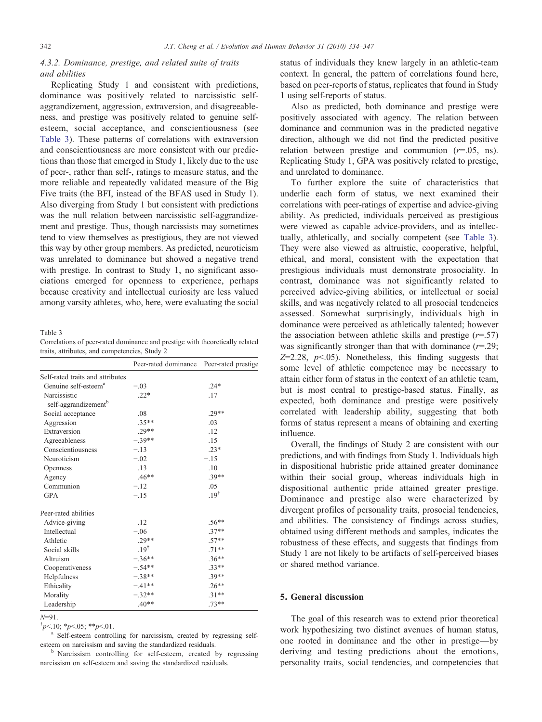## 4.3.2. Dominance, prestige, and related suite of traits and abilities

Replicating Study 1 and consistent with predictions, dominance was positively related to narcissistic selfaggrandizement, aggression, extraversion, and disagreeableness, and prestige was positively related to genuine selfesteem, social acceptance, and conscientiousness (see Table 3). These patterns of correlations with extraversion and conscientiousness are more consistent with our predictions than those that emerged in Study 1, likely due to the use of peer-, rather than self-, ratings to measure status, and the more reliable and repeatedly validated measure of the Big Five traits (the BFI, instead of the BFAS used in Study 1). Also diverging from Study 1 but consistent with predictions was the null relation between narcissistic self-aggrandizement and prestige. Thus, though narcissists may sometimes tend to view themselves as prestigious, they are not viewed this way by other group members. As predicted, neuroticism was unrelated to dominance but showed a negative trend with prestige. In contrast to Study 1, no significant associations emerged for openness to experience, perhaps because creativity and intellectual curiosity are less valued among varsity athletes, who, here, were evaluating the social

Table 3

Correlations of peer-rated dominance and prestige with theoretically related traits, attributes, and competencies, Study 2

|                                                  | Peer-rated dominance | Peer-rated prestige |
|--------------------------------------------------|----------------------|---------------------|
| Self-rated traits and attributes                 |                      |                     |
| Genuine self-esteem <sup>a</sup>                 | $-.03$               | $.24*$              |
| Narcissistic<br>self-aggrandizement <sup>b</sup> | $.22*$               | .17                 |
| Social acceptance                                | .08                  | $.29**$             |
| Aggression                                       | $.35**$              | .03                 |
| Extraversion                                     | $.29**$              | .12                 |
| Agreeableness                                    | $-.39**$             | .15                 |
| Conscientiousness                                | $-.13$               | $.23*$              |
| Neuroticism                                      | $-.02$               | $-.15$              |
| <b>Openness</b>                                  | .13                  | .10                 |
| Agency                                           | $.46**$              | $.39**$             |
| Communion                                        | $-.12$               | .05                 |
| <b>GPA</b>                                       | $-.15$               | $.19^{\dagger}$     |
| Peer-rated abilities                             |                      |                     |
| Advice-giving                                    | .12                  | $.56**$             |
| <b>Intellectual</b>                              | $-.06$               | $.37**$             |
| Athletic                                         | $.29**$              | $.57**$             |
| Social skills                                    | $.19^{\dagger}$      | $.71**$             |
| Altruism                                         | $-.36**$             | $.36**$             |
| Cooperativeness                                  | $-.54**$             | $.33**$             |
| Helpfulness                                      | $-.38**$             | $.39**$             |
| Ethicality                                       | $-.41**$             | $.26**$             |
| Morality                                         | $-.32**$             | $.31**$             |
| Leadership                                       | $.40**$              | $.73**$             |

 $N=91$ .

 $\uparrow p < 10; \uparrow p < 05; \uparrow \uparrow p < 01.$ 

<sup>a</sup> Self-esteem controlling for narcissism, created by regressing selfesteem on narcissism and saving the standardized residuals.<br><sup>b</sup> Narcissism controlling for self-esteem, created by regressing

narcissism on self-esteem and saving the standardized residuals.

status of individuals they knew largely in an athletic-team context. In general, the pattern of correlations found here, based on peer-reports of status, replicates that found in Study 1 using self-reports of status.

Also as predicted, both dominance and prestige were positively associated with agency. The relation between dominance and communion was in the predicted negative direction, although we did not find the predicted positive relation between prestige and communion  $(r=.05, \text{ ns})$ . Replicating Study 1, GPA was positively related to prestige, and unrelated to dominance.

To further explore the suite of characteristics that underlie each form of status, we next examined their correlations with peer-ratings of expertise and advice-giving ability. As predicted, individuals perceived as prestigious were viewed as capable advice-providers, and as intellectually, athletically, and socially competent (see Table 3). They were also viewed as altruistic, cooperative, helpful, ethical, and moral, consistent with the expectation that prestigious individuals must demonstrate prosociality. In contrast, dominance was not significantly related to perceived advice-giving abilities, or intellectual or social skills, and was negatively related to all prosocial tendencies assessed. Somewhat surprisingly, individuals high in dominance were perceived as athletically talented; however the association between athletic skills and prestige  $(r=.57)$ was significantly stronger than that with dominance  $(r=29;$  $Z=2.28$ ,  $p<05$ ). Nonetheless, this finding suggests that some level of athletic competence may be necessary to attain either form of status in the context of an athletic team, but is most central to prestige-based status. Finally, as expected, both dominance and prestige were positively correlated with leadership ability, suggesting that both forms of status represent a means of obtaining and exerting influence.

Overall, the findings of Study 2 are consistent with our predictions, and with findings from Study 1. Individuals high in dispositional hubristic pride attained greater dominance within their social group, whereas individuals high in dispositional authentic pride attained greater prestige. Dominance and prestige also were characterized by divergent profiles of personality traits, prosocial tendencies, and abilities. The consistency of findings across studies, obtained using different methods and samples, indicates the robustness of these effects, and suggests that findings from Study 1 are not likely to be artifacts of self-perceived biases or shared method variance.

# 5. General discussion

The goal of this research was to extend prior theoretical work hypothesizing two distinct avenues of human status, one rooted in dominance and the other in prestige—by deriving and testing predictions about the emotions, personality traits, social tendencies, and competencies that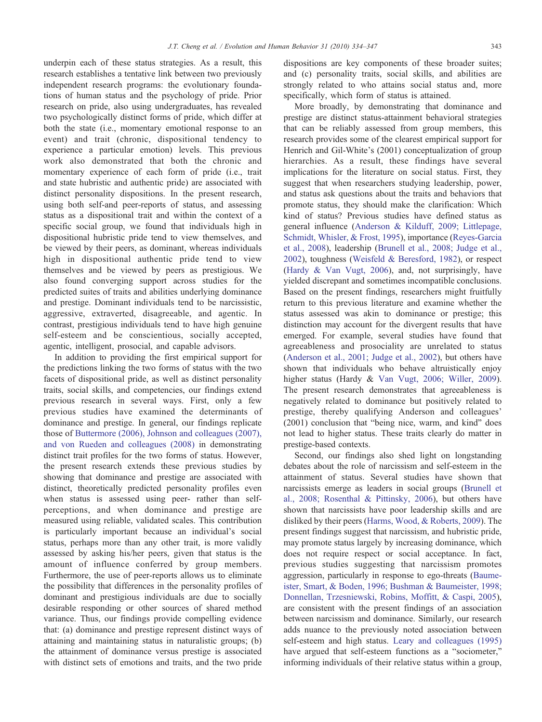underpin each of these status strategies. As a result, this research establishes a tentative link between two previously independent research programs: the evolutionary foundations of human status and the psychology of pride. Prior research on pride, also using undergraduates, has revealed two psychologically distinct forms of pride, which differ at both the state (i.e., momentary emotional response to an event) and trait (chronic, dispositional tendency to experience a particular emotion) levels. This previous work also demonstrated that both the chronic and momentary experience of each form of pride (i.e., trait and state hubristic and authentic pride) are associated with distinct personality dispositions. In the present research, using both self-and peer-reports of status, and assessing status as a dispositional trait and within the context of a specific social group, we found that individuals high in dispositional hubristic pride tend to view themselves, and be viewed by their peers, as dominant, whereas individuals high in dispositional authentic pride tend to view themselves and be viewed by peers as prestigious. We also found converging support across studies for the predicted suites of traits and abilities underlying dominance and prestige. Dominant individuals tend to be narcissistic, aggressive, extraverted, disagreeable, and agentic. In contrast, prestigious individuals tend to have high genuine self-esteem and be conscientious, socially accepted, agentic, intelligent, prosocial, and capable advisors.

In addition to providing the first empirical support for the predictions linking the two forms of status with the two facets of dispositional pride, as well as distinct personality traits, social skills, and competencies, our findings extend previous research in several ways. First, only a few previous studies have examined the determinants of dominance and prestige. In general, our findings replicate those of [Buttermore \(2006\), Johnson and colleagues \(2007\),](#page-11-0) [and von Rueden and colleagues \(2008\)](#page-11-0) in demonstrating distinct trait profiles for the two forms of status. However, the present research extends these previous studies by showing that dominance and prestige are associated with distinct, theoretically predicted personality profiles even when status is assessed using peer- rather than selfperceptions, and when dominance and prestige are measured using reliable, validated scales. This contribution is particularly important because an individual's social status, perhaps more than any other trait, is more validly assessed by asking his/her peers, given that status is the amount of influence conferred by group members. Furthermore, the use of peer-reports allows us to eliminate the possibility that differences in the personality profiles of dominant and prestigious individuals are due to socially desirable responding or other sources of shared method variance. Thus, our findings provide compelling evidence that: (a) dominance and prestige represent distinct ways of attaining and maintaining status in naturalistic groups; (b) the attainment of dominance versus prestige is associated with distinct sets of emotions and traits, and the two pride

dispositions are key components of these broader suites; and (c) personality traits, social skills, and abilities are strongly related to who attains social status and, more specifically, which form of status is attained.

More broadly, by demonstrating that dominance and prestige are distinct status-attainment behavioral strategies that can be reliably assessed from group members, this research provides some of the clearest empirical support for Henrich and Gil-White's (2001) conceptualization of group hierarchies. As a result, these findings have several implications for the literature on social status. First, they suggest that when researchers studying leadership, power, and status ask questions about the traits and behaviors that promote status, they should make the clarification: Which kind of status? Previous studies have defined status as general influence ([Anderson & Kilduff, 2009; Littlepage,](#page-11-0) [Schmidt, Whisler, & Frost, 1995\)](#page-11-0), importance [\(Reyes-Garcia](#page-12-0) [et al., 2008](#page-12-0)), leadership [\(Brunell et al., 2008; Judge et al.,](#page-11-0) [2002\)](#page-11-0), toughness [\(Weisfeld & Beresford, 1982](#page-12-0)), or respect [\(Hardy & Van Vugt, 2006\)](#page-11-0), and, not surprisingly, have yielded discrepant and sometimes incompatible conclusions. Based on the present findings, researchers might fruitfully return to this previous literature and examine whether the status assessed was akin to dominance or prestige; this distinction may account for the divergent results that have emerged. For example, several studies have found that agreeableness and prosociality are unrelated to status [\(Anderson et al., 2001; Judge et al., 2002](#page-11-0)), but others have shown that individuals who behave altruistically enjoy higher status (Hardy & [Van Vugt, 2006; Willer, 2009](#page-11-0)). The present research demonstrates that agreeableness is negatively related to dominance but positively related to prestige, thereby qualifying Anderson and colleagues' (2001) conclusion that "being nice, warm, and kind" does not lead to higher status. These traits clearly do matter in prestige-based contexts.

Second, our findings also shed light on longstanding debates about the role of narcissism and self-esteem in the attainment of status. Several studies have shown that narcissists emerge as leaders in social groups ([Brunell et](#page-11-0) [al., 2008; Rosenthal & Pittinsky, 2006](#page-11-0)), but others have shown that narcissists have poor leadership skills and are disliked by their peers [\(Harms, Wood, & Roberts, 2009\)](#page-12-0). The present findings suggest that narcissism, and hubristic pride, may promote status largely by increasing dominance, which does not require respect or social acceptance. In fact, previous studies suggesting that narcissism promotes aggression, particularly in response to ego-threats ([Baume](#page-11-0)[ister, Smart, & Boden, 1996; Bushman & Baumeister, 1998;](#page-11-0) [Donnellan, Trzesniewski, Robins, Moffitt, & Caspi, 2005](#page-11-0)), are consistent with the present findings of an association between narcissism and dominance. Similarly, our research adds nuance to the previously noted association between self-esteem and high status. [Leary and colleagues \(1995\)](#page-12-0) have argued that self-esteem functions as a "sociometer," informing individuals of their relative status within a group,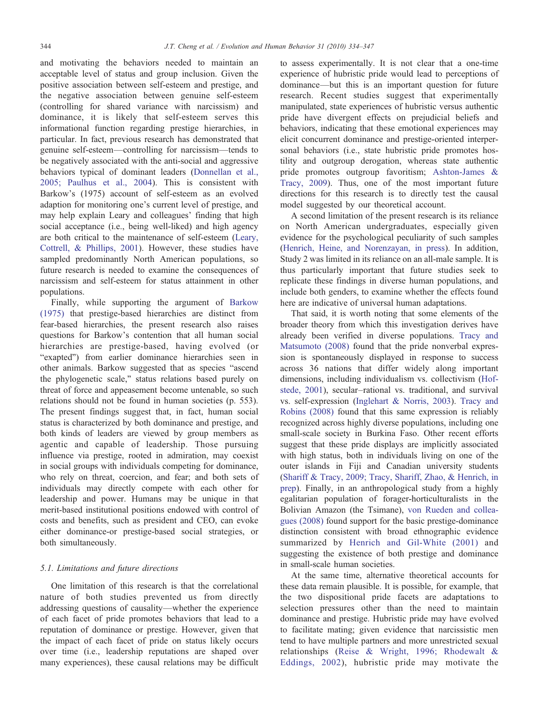and motivating the behaviors needed to maintain an acceptable level of status and group inclusion. Given the positive association between self-esteem and prestige, and the negative association between genuine self-esteem (controlling for shared variance with narcissism) and dominance, it is likely that self-esteem serves this informational function regarding prestige hierarchies, in particular. In fact, previous research has demonstrated that genuine self-esteem—controlling for narcissism—tends to be negatively associated with the anti-social and aggressive behaviors typical of dominant leaders [\(Donnellan et al.,](#page-11-0) [2005; Paulhus et al., 2004\)](#page-11-0). This is consistent with Barkow's (1975) account of self-esteem as an evolved adaption for monitoring one's current level of prestige, and may help explain Leary and colleagues' finding that high social acceptance (i.e., being well-liked) and high agency are both critical to the maintenance of self-esteem ([Leary,](#page-12-0) [Cottrell, & Phillips, 2001](#page-12-0)). However, these studies have sampled predominantly North American populations, so future research is needed to examine the consequences of narcissism and self-esteem for status attainment in other populations.

Finally, while supporting the argument of [Barkow](#page-11-0) [\(1975\)](#page-11-0) that prestige-based hierarchies are distinct from fear-based hierarchies, the present research also raises questions for Barkow's contention that all human social hierarchies are prestige-based, having evolved (or "exapted") from earlier dominance hierarchies seen in other animals. Barkow suggested that as species "ascend the phylogenetic scale," status relations based purely on threat of force and appeasement become untenable, so such relations should not be found in human societies (p. 553). The present findings suggest that, in fact, human social status is characterized by both dominance and prestige, and both kinds of leaders are viewed by group members as agentic and capable of leadership. Those pursuing influence via prestige, rooted in admiration, may coexist in social groups with individuals competing for dominance, who rely on threat, coercion, and fear; and both sets of individuals may directly compete with each other for leadership and power. Humans may be unique in that merit-based institutional positions endowed with control of costs and benefits, such as president and CEO, can evoke either dominance-or prestige-based social strategies, or both simultaneously.

#### 5.1. Limitations and future directions

One limitation of this research is that the correlational nature of both studies prevented us from directly addressing questions of causality—whether the experience of each facet of pride promotes behaviors that lead to a reputation of dominance or prestige. However, given that the impact of each facet of pride on status likely occurs over time (i.e., leadership reputations are shaped over many experiences), these causal relations may be difficult to assess experimentally. It is not clear that a one-time experience of hubristic pride would lead to perceptions of dominance—but this is an important question for future research. Recent studies suggest that experimentally manipulated, state experiences of hubristic versus authentic pride have divergent effects on prejudicial beliefs and behaviors, indicating that these emotional experiences may elicit concurrent dominance and prestige-oriented interpersonal behaviors (i.e., state hubristic pride promotes hostility and outgroup derogation, whereas state authentic pride promotes outgroup favoritism; [Ashton-James &](#page-11-0) [Tracy, 2009\)](#page-11-0). Thus, one of the most important future directions for this research is to directly test the causal model suggested by our theoretical account.

A second limitation of the present research is its reliance on North American undergraduates, especially given evidence for the psychological peculiarity of such samples [\(Henrich, Heine, and Norenzayan, in press\)](#page-12-0). In addition, Study 2 was limited in its reliance on an all-male sample. It is thus particularly important that future studies seek to replicate these findings in diverse human populations, and include both genders, to examine whether the effects found here are indicative of universal human adaptations.

That said, it is worth noting that some elements of the broader theory from which this investigation derives have already been verified in diverse populations. [Tracy and](#page-12-0) [Matsumoto \(2008\)](#page-12-0) found that the pride nonverbal expression is spontaneously displayed in response to success across 36 nations that differ widely along important dimensions, including individualism vs. collectivism ([Hof](#page-12-0)[stede, 2001](#page-12-0)), secular–rational vs. traditional, and survival vs. self-expression [\(Inglehart & Norris, 2003](#page-12-0)). [Tracy and](#page-12-0) [Robins \(2008\)](#page-12-0) found that this same expression is reliably recognized across highly diverse populations, including one small-scale society in Burkina Faso. Other recent efforts suggest that these pride displays are implicitly associated with high status, both in individuals living on one of the outer islands in Fiji and Canadian university students [\(Shariff & Tracy, 2009; Tracy, Shariff, Zhao, & Henrich, in](#page-12-0) [prep\)](#page-12-0). Finally, in an anthropological study from a highly egalitarian population of forager-horticulturalists in the Bolivian Amazon (the Tsimane), [von Rueden and collea](#page-12-0)[gues \(2008\)](#page-12-0) found support for the basic prestige-dominance distinction consistent with broad ethnographic evidence summarized by [Henrich and Gil-White \(2001\)](#page-12-0) and suggesting the existence of both prestige and dominance in small-scale human societies.

At the same time, alternative theoretical accounts for these data remain plausible. It is possible, for example, that the two dispositional pride facets are adaptations to selection pressures other than the need to maintain dominance and prestige. Hubristic pride may have evolved to facilitate mating; given evidence that narcissistic men tend to have multiple partners and more unrestricted sexual relationships ([Reise & Wright, 1996; Rhodewalt &](#page-12-0) [Eddings, 2002](#page-12-0)), hubristic pride may motivate the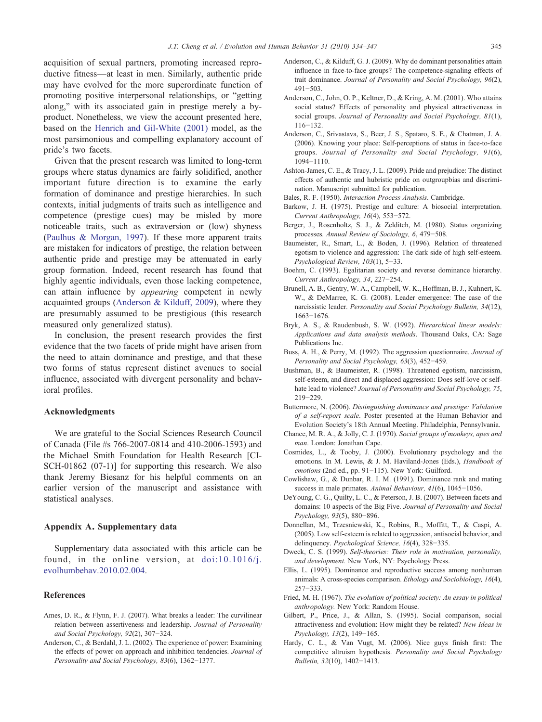<span id="page-11-0"></span>acquisition of sexual partners, promoting increased reproductive fitness—at least in men. Similarly, authentic pride may have evolved for the more superordinate function of promoting positive interpersonal relationships, or "getting along," with its associated gain in prestige merely a byproduct. Nonetheless, we view the account presented here, based on the [Henrich and Gil-White \(2001\)](#page-12-0) model, as the most parsimonious and compelling explanatory account of pride's two facets.

Given that the present research was limited to long-term groups where status dynamics are fairly solidified, another important future direction is to examine the early formation of dominance and prestige hierarchies. In such contexts, initial judgments of traits such as intelligence and competence (prestige cues) may be misled by more noticeable traits, such as extraversion or (low) shyness [\(Paulhus & Morgan, 1997\)](#page-12-0). If these more apparent traits are mistaken for indicators of prestige, the relation between authentic pride and prestige may be attenuated in early group formation. Indeed, recent research has found that highly agentic individuals, even those lacking competence, can attain influence by appearing competent in newly acquainted groups (Anderson & Kilduff, 2009), where they are presumably assumed to be prestigious (this research measured only generalized status).

In conclusion, the present research provides the first evidence that the two facets of pride might have arisen from the need to attain dominance and prestige, and that these two forms of status represent distinct avenues to social influence, associated with divergent personality and behavioral profiles.

# Acknowledgments

We are grateful to the Social Sciences Research Council of Canada (File #s 766-2007-0814 and 410-2006-1593) and the Michael Smith Foundation for Health Research [CI-SCH-01862 (07-1)] for supporting this research. We also thank Jeremy Biesanz for his helpful comments on an earlier version of the manuscript and assistance with statistical analyses.

# Appendix A. Supplementary data

Supplementary data associated with this article can be found, in the online version, at doi:10.1016/j. evolhumbehav.2010.02.004.

#### References

- Ames, D. R., & Flynn, F. J. (2007). What breaks a leader: The curvilinear relation between assertiveness and leadership. Journal of Personality and Social Psychology, 92(2), 307−324.
- Anderson, C., & Berdahl, J. L. (2002). The experience of power: Examining the effects of power on approach and inhibition tendencies. Journal of Personality and Social Psychology, 83(6), 1362−1377.
- Anderson, C., & Kilduff, G. J. (2009). Why do dominant personalities attain influence in face-to-face groups? The competence-signaling effects of trait dominance. Journal of Personality and Social Psychology, 96(2), 491−503.
- Anderson, C., John, O. P., Keltner, D., & Kring, A. M. (2001). Who attains social status? Effects of personality and physical attractiveness in social groups. Journal of Personality and Social Psychology, 81(1), 116−132.
- Anderson, C., Srivastava, S., Beer, J. S., Spataro, S. E., & Chatman, J. A. (2006). Knowing your place: Self-perceptions of status in face-to-face groups. Journal of Personality and Social Psychology, 91(6), 1094−1110.
- Ashton-James, C. E., & Tracy, J. L. (2009). Pride and prejudice: The distinct effects of authentic and hubristic pride on outgroupbias and discrimination. Manuscript submitted for publication.
- Bales, R. F. (1950). Interaction Process Analysis. Cambridge.
- Barkow, J. H. (1975). Prestige and culture: A biosocial interpretation. Current Anthropology, 16(4), 553−572.
- Berger, J., Rosenholtz, S. J., & Zelditch, M. (1980). Status organizing processes. Annual Review of Sociology, 6, 479−508.
- Baumeister, R., Smart, L., & Boden, J. (1996). Relation of threatened egotism to violence and aggression: The dark side of high self-esteem. Psychological Review, 103(1), 5−33.
- Boehm, C. (1993). Egalitarian society and reverse dominance hierarchy. Current Anthropology, 34, 227−254.
- Brunell, A. B., Gentry, W. A., Campbell, W. K., Hoffman, B. J., Kuhnert, K. W., & DeMarree, K. G. (2008). Leader emergence: The case of the narcissistic leader. Personality and Social Psychology Bulletin, 34(12), 1663−1676.
- Bryk, A. S., & Raudenbush, S. W. (1992). Hierarchical linear models: Applications and data analysis methods. Thousand Oaks, CA: Sage Publications Inc.
- Buss, A. H., & Perry, M. (1992). The aggression questionnaire. Journal of Personality and Social Psychology, 63(3), 452−459.
- Bushman, B., & Baumeister, R. (1998). Threatened egotism, narcissism, self-esteem, and direct and displaced aggression: Does self-love or selfhate lead to violence? Journal of Personality and Social Psychology, 75, 219−229.
- Buttermore, N. (2006). Distinguishing dominance and prestige: Validation of a self-report scale. Poster presented at the Human Behavior and Evolution Society's 18th Annual Meeting. Philadelphia, Pennsylvania.
- Chance, M. R. A., & Jolly, C. J. (1970). Social groups of monkeys, apes and man. London: Jonathan Cape.
- Cosmides, L., & Tooby, J. (2000). Evolutionary psychology and the emotions. In M. Lewis, & J. M. Haviland-Jones (Eds.), Handbook of emotions (2nd ed., pp. 91−115). New York: Guilford.
- Cowlishaw, G., & Dunbar, R. I. M. (1991). Dominance rank and mating success in male primates. Animal Behaviour, 41(6), 1045−1056.
- DeYoung, C. G., Quilty, L. C., & Peterson, J. B. (2007). Between facets and domains: 10 aspects of the Big Five. Journal of Personality and Social Psychology, 93(5), 880−896.
- Donnellan, M., Trzesniewski, K., Robins, R., Moffitt, T., & Caspi, A. (2005). Low self-esteem is related to aggression, antisocial behavior, and delinquency. Psychological Science, 16(4), 328−335.
- Dweck, C. S. (1999). Self-theories: Their role in motivation, personality, and development. New York, NY: Psychology Press.
- Ellis, L. (1995). Dominance and reproductive success among nonhuman animals: A cross-species comparison. Ethology and Sociobiology, 16(4), 257−333.
- Fried, M. H. (1967). The evolution of political society: An essay in political anthropology. New York: Random House.
- Gilbert, P., Price, J., & Allan, S. (1995). Social comparison, social attractiveness and evolution: How might they be related? New Ideas in Psychology, 13(2), 149−165.
- Hardy, C. L., & Van Vugt, M. (2006). Nice guys finish first: The competitive altruism hypothesis. Personality and Social Psychology Bulletin, 32(10), 1402−1413.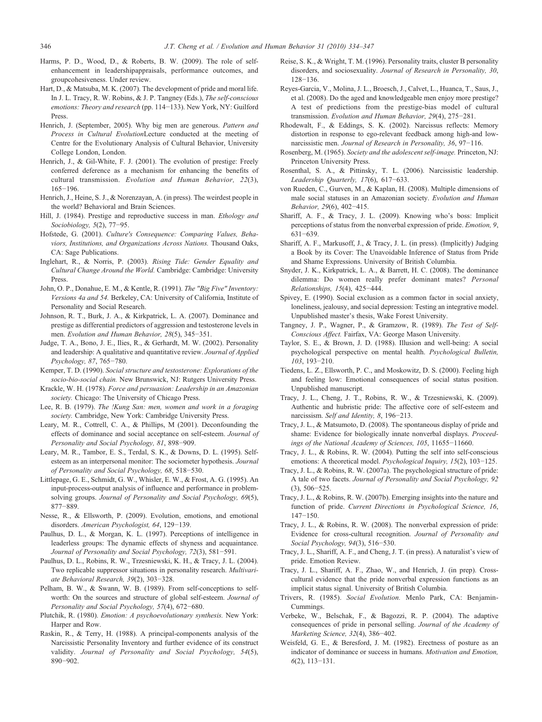- <span id="page-12-0"></span>Harms, P. D., Wood, D., & Roberts, B. W. (2009). The role of selfenhancement in leadershipappraisals, performance outcomes, and groupcohesiveness. Under review.
- Hart, D., & Matsuba, M. K. (2007). The development of pride and moral life. In J. L. Tracy, R. W. Robins, & J. P. Tangney (Eds.), The self-conscious emotions: Theory and research (pp. 114−133). New York, NY: Guilford Press.
- Henrich, J. (September, 2005). Why big men are generous. Pattern and Process in Cultural EvolutionLecture conducted at the meeting of Centre for the Evolutionary Analysis of Cultural Behavior, University College London, London.
- Henrich, J., & Gil-White, F. J. (2001). The evolution of prestige: Freely conferred deference as a mechanism for enhancing the benefits of cultural transmission. Evolution and Human Behavior, 22(3), 165−196.
- Henrich, J., Heine, S. J., & Norenzayan, A. (in press). The weirdest people in the world? Behavioral and Brain Sciences.
- Hill, J. (1984). Prestige and reproductive success in man. Ethology and Sociobiology, 5(2), 77−95.
- Hofstede, G. (2001). Culture's Consequence: Comparing Values, Behaviors, Institutions, and Organizations Across Nations. Thousand Oaks, CA: Sage Publications.
- Inglehart, R., & Norris, P. (2003). Rising Tide: Gender Equality and Cultural Change Around the World. Cambridge: Cambridge: University Press.
- John, O. P., Donahue, E. M., & Kentle, R. (1991). The "Big Five" Inventory: Versions 4a and 54. Berkeley, CA: University of California, Institute of Personality and Social Research.
- Johnson, R. T., Burk, J. A., & Kirkpatrick, L. A. (2007). Dominance and prestige as differential predictors of aggression and testosterone levels in men. Evolution and Human Behavior, 28(5), 345−351.
- Judge, T. A., Bono, J. E., Ilies, R., & Gerhardt, M. W. (2002). Personality and leadership: A qualitative and quantitative review. Journal of Applied Psychology, 87, 765−780.
- Kemper, T. D. (1990). Social structure and testosterone: Explorations of the socio-bio-social chain. New Brunswick, NJ: Rutgers University Press.
- Krackle, W. H. (1978). Force and persuasion: Leadership in an Amazonian society. Chicago: The University of Chicago Press.
- Lee, R. B. (1979). The !Kung San: men, women and work in a foraging society. Cambridge, New York: Cambridge University Press.
- Leary, M. R., Cottrell, C. A., & Phillips, M (2001). Deconfounding the effects of dominance and social acceptance on self-esteem. Journal of Personality and Social Psychology, 81, 898−909.
- Leary, M. R., Tambor, E. S., Terdal, S. K., & Downs, D. L. (1995). Selfesteem as an interpersonal monitor: The sociometer hypothesis. Journal of Personality and Social Psychology, 68, 518−530.
- Littlepage, G. E., Schmidt, G. W., Whisler, E. W., & Frost, A. G. (1995). An input-process-output analysis of influence and performance in problemsolving groups. Journal of Personality and Social Psychology, 69(5), 877−889.
- Nesse, R., & Ellsworth, P. (2009). Evolution, emotions, and emotional disorders. American Psychologist, 64, 129−139.
- Paulhus, D. L., & Morgan, K. L. (1997). Perceptions of intelligence in leaderless groups: The dynamic effects of shyness and acquaintance. Journal of Personality and Social Psychology, 72(3), 581−591.
- Paulhus, D. L., Robins, R. W., Trzesniewski, K. H., & Tracy, J. L. (2004). Two replicable suppressor situations in personality research. Multivariate Behavioral Research, 39(2), 303−328.
- Pelham, B. W., & Swann, W. B. (1989). From self-conceptions to selfworth: On the sources and structure of global self-esteem. Journal of Personality and Social Psychology, 57(4), 672−680.
- Plutchik, R. (1980). Emotion: A psychoevolutionary synthesis. New York: Harper and Row.
- Raskin, R., & Terry, H. (1988). A principal-components analysis of the Narcissistic Personality Inventory and further evidence of its construct validity. Journal of Personality and Social Psychology, 54(5), 890−902.
- Reise, S. K., & Wright, T. M. (1996). Personality traits, cluster B personality disorders, and sociosexuality. Journal of Research in Personality, 30, 128−136.
- Reyes-Garcia, V., Molina, J. L., Broesch, J., Calvet, L., Huanca, T., Saus, J., et al. (2008). Do the aged and knowledgeable men enjoy more prestige? A test of predictions from the prestige-bias model of cultural transmission. Evolution and Human Behavior, 29(4), 275−281.
- Rhodewalt, F., & Eddings, S. K. (2002). Narcissus reflects: Memory distortion in response to ego-relevant feedback among high-and lownarcissistic men. Journal of Research in Personality, 36, 97−116.
- Rosenberg, M. (1965). Society and the adolescent self-image. Princeton, NJ: Princeton University Press.
- Rosenthal, S. A., & Pittinsky, T. L. (2006). Narcissistic leadership. Leadership Quarterly, 17(6), 617−633.
- von Rueden, C., Gurven, M., & Kaplan, H. (2008). Multiple dimensions of male social statuses in an Amazonian society. Evolution and Human Behavior, 29(6), 402−415.
- Shariff, A. F., & Tracy, J. L. (2009). Knowing who's boss: Implicit perceptions of status from the nonverbal expression of pride. Emotion, 9, 631−639.
- Shariff, A. F., Markusoff, J., & Tracy, J. L. (in press). (Implicitly) Judging a Book by its Cover: The Unavoidable Inference of Status from Pride and Shame Expressions. University of British Columbia.
- Snyder, J. K., Kirkpatrick, L. A., & Barrett, H. C. (2008). The dominance dilemma: Do women really prefer dominant mates? Personal Relationships, 15(4), 425−444.
- Spivey, E. (1990). Social exclusion as a common factor in social anxiety, loneliness, jealousy, and social depression: Testing an integrative model. Unpublished master's thesis, Wake Forest University.
- Tangney, J. P., Wagner, P., & Gramzow, R. (1989). The Test of Self-Conscious Affect. Fairfax, VA: George Mason University.
- Taylor, S. E., & Brown, J. D. (1988). Illusion and well-being: A social psychological perspective on mental health. Psychological Bulletin, 103, 193−210.
- Tiedens, L. Z., Ellsworth, P. C., and Moskowitz, D. S. (2000). Feeling high and feeling low: Emotional consequences of social status position. Unpublished manuscript.
- Tracy, J. L., Cheng, J. T., Robins, R. W., & Trzesniewski, K. (2009). Authentic and hubristic pride: The affective core of self-esteem and narcissism. Self and Identity, 8, 196-213.
- Tracy, J. L., & Matsumoto, D. (2008). The spontaneous display of pride and shame: Evidence for biologically innate nonverbal displays. Proceedings of the National Academy of Sciences, 105, 11655−11660.
- Tracy, J. L., & Robins, R. W. (2004). Putting the self into self-conscious emotions: A theoretical model. Psychological Inquiry, 15(2), 103−125.
- Tracy, J. L., & Robins, R. W. (2007a). The psychological structure of pride: A tale of two facets. Journal of Personality and Social Psychology, 92 (3), 506−525.
- Tracy, J. L., & Robins, R. W. (2007b). Emerging insights into the nature and function of pride. Current Directions in Psychological Science, 16, 147−150.
- Tracy, J. L., & Robins, R. W. (2008). The nonverbal expression of pride: Evidence for cross-cultural recognition. Journal of Personality and Social Psychology, 94(3), 516−530.
- Tracy, J. L., Shariff, A. F., and Cheng, J. T. (in press). A naturalist's view of pride. Emotion Review.
- Tracy, J. L., Shariff, A. F., Zhao, W., and Henrich, J. (in prep). Crosscultural evidence that the pride nonverbal expression functions as an implicit status signal. University of British Columbia.
- Trivers, R. (1985). Social Evolution. Menlo Park, CA: Benjamin-Cummings.
- Verbeke, W., Belschak, F., & Bagozzi, R. P. (2004). The adaptive consequences of pride in personal selling. Journal of the Academy of Marketing Science, 32(4), 386−402.
- Weisfeld, G. E., & Beresford, J. M. (1982). Erectness of posture as an indicator of dominance or success in humans. Motivation and Emotion, 6(2), 113−131.